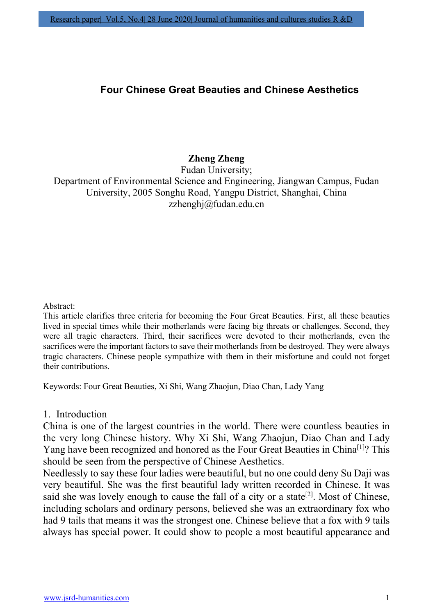# Four Chinese Great Beauties and Chinese Aesthetics

# Zheng Zheng

Fudan University; Department of Environmental Science and Engineering, Jiangwan Campus, Fudan University, 2005 Songhu Road, Yangpu District, Shanghai, China zzhenghj@fudan.edu.cn

#### Abstract:

This article clarifies three criteria for becoming the Four Great Beauties. First, all these beauties lived in special times while their motherlands were facing big threats or challenges. Second, they were all tragic characters. Third, their sacrifices were devoted to their motherlands, even the sacrifices were the important factors to save their motherlands from be destroyed. They were always tragic characters. Chinese people sympathize with them in their misfortune and could not forget their contributions.

Keywords: Four Great Beauties, Xi Shi, Wang Zhaojun, Diao Chan, Lady Yang

#### 1. Introduction

China is one of the largest countries in the world. There were countless beauties in the very long Chinese history. Why Xi Shi, Wang Zhaojun, Diao Chan and Lady Yang have been recognized and honored as the Four Great Beauties in China<sup>[1]</sup>? This should be seen from the perspective of Chinese Aesthetics.

Needlessly to say these four ladies were beautiful, but no one could deny Su Daji was very beautiful. She was the first beautiful lady written recorded in Chinese. It was said she was lovely enough to cause the fall of a city or a state<sup>[2]</sup>. Most of Chinese, including scholars and ordinary persons, believed she was an extraordinary fox who had 9 tails that means it was the strongest one. Chinese believe that a fox with 9 tails always has special power. It could show to people a most beautiful appearance and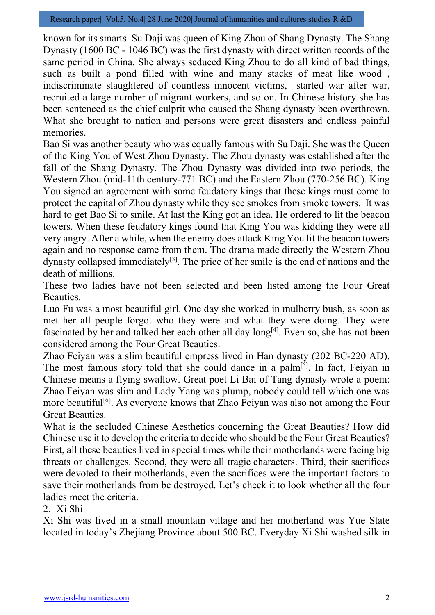known for its smarts. Su Daji was queen of King Zhou of Shang Dynasty. The Shang Dynasty (1600 BC - 1046 BC) was the first dynasty with direct written records of the same period in China. She always seduced King Zhou to do all kind of bad things, such as built a pond filled with wine and many stacks of meat like wood , indiscriminate slaughtered of countless innocent victims, started war after war, recruited a large number of migrant workers, and so on. In Chinese history she has been sentenced as the chief culprit who caused the Shang dynasty been overthrown. What she brought to nation and persons were great disasters and endless painful memories.

Bao Si was another beauty who was equally famous with Su Daji. She was the Queen of the King You of West Zhou Dynasty. The Zhou dynasty was established after the fall of the Shang Dynasty. The Zhou Dynasty was divided into two periods, the Western Zhou (mid-11th century-771 BC) and the Eastern Zhou (770-256 BC). King You signed an agreement with some feudatory kings that these kings must come to protect the capital of Zhou dynasty while they see smokes from smoke towers. It was hard to get Bao Si to smile. At last the King got an idea. He ordered to lit the beacon towers. When these feudatory kings found that King You was kidding they were all very angry. After a while, when the enemy does attack King You lit the beacon towers again and no response came from them. The drama made directly the Western Zhou dynasty collapsed immediately<sup>[3]</sup>. The price of her smile is the end of nations and the death of millions.

These two ladies have not been selected and been listed among the Four Great Beauties.

Luo Fu was a most beautiful girl. One day she worked in mulberry bush, as soon as met her all people forgot who they were and what they were doing. They were fascinated by her and talked her each other all day long<sup>[4]</sup>. Even so, she has not been considered among the Four Great Beauties.

Zhao Feiyan was a slim beautiful empress lived in Han dynasty (202 BC-220 AD). The most famous story told that she could dance in a palm<sup>[5]</sup>. In fact, Feiyan in Chinese means a flying swallow. Great poet Li Bai of Tang dynasty wrote a poem: Zhao Feiyan was slim and Lady Yang was plump, nobody could tell which one was more beautiful<sup>[6]</sup>. As everyone knows that Zhao Feiyan was also not among the Four Great Beauties.

What is the secluded Chinese Aesthetics concerning the Great Beauties? How did Chinese use it to develop the criteria to decide who should be the Four Great Beauties? First, all these beauties lived in special times while their motherlands were facing big threats or challenges. Second, they were all tragic characters. Third, their sacrifices were devoted to their motherlands, even the sacrifices were the important factors to save their motherlands from be destroyed. Let's check it to look whether all the four ladies meet the criteria.

2. Xi Shi

Xi Shi was lived in a small mountain village and her motherland was Yue State located in today's Zhejiang Province about 500 BC. Everyday Xi Shi washed silk in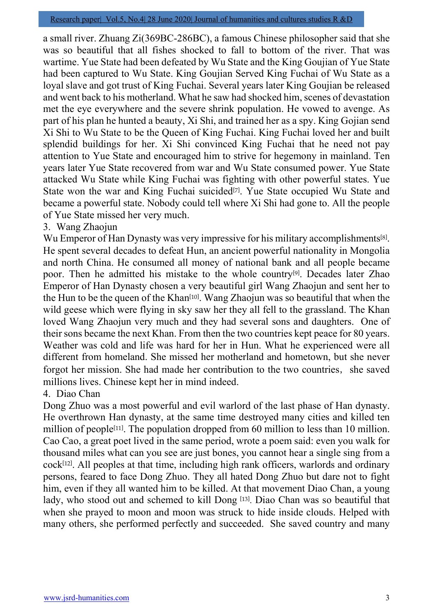a small river. Zhuang Zi(369BC-286BC), a famous Chinese philosopher said that she was so beautiful that all fishes shocked to fall to bottom of the river. That was wartime. Yue State had been defeated by Wu State and the King Goujian of Yue State had been captured to Wu State. King Goujian Served King Fuchai of Wu State as a loyal slave and got trust of King Fuchai. Several years later King Goujian be released and went back to his motherland. What he saw had shocked him, scenes of devastation met the eye everywhere and the severe shrink population. He vowed to avenge. As part of his plan he hunted a beauty, Xi Shi, and trained her as a spy. King Gojian send Xi Shi to Wu State to be the Queen of King Fuchai. King Fuchai loved her and built splendid buildings for her. Xi Shi convinced King Fuchai that he need not pay attention to Yue State and encouraged him to strive for hegemony in mainland. Ten years later Yue State recovered from war and Wu State consumed power. Yue State attacked Wu State while King Fuchai was fighting with other powerful states. Yue State won the war and King Fuchai suicided<sup>[7]</sup>. Yue State occupied Wu State and became a powerful state. Nobody could tell where Xi Shi had gone to. All the people of Yue State missed her very much.

## 3. Wang Zhaojun

Wu Emperor of Han Dynasty was very impressive for his military accomplishments<sup>[8]</sup>. He spent several decades to defeat Hun, an ancient powerful nationality in Mongolia and north China. He consumed all money of national bank and all people became poor. Then he admitted his mistake to the whole country<sup>[9]</sup>. Decades later Zhao Emperor of Han Dynasty chosen a very beautiful girl Wang Zhaojun and sent her to the Hun to be the queen of the Khan<sup>[10]</sup>. Wang Zhaojun was so beautiful that when the wild geese which were flying in sky saw her they all fell to the grassland. The Khan loved Wang Zhaojun very much and they had several sons and daughters. One of their sons became the next Khan. From then the two countries kept peace for 80 years. Weather was cold and life was hard for her in Hun. What he experienced were all different from homeland. She missed her motherland and hometown, but she never forgot her mission. She had made her contribution to the two countries, she saved millions lives. Chinese kept her in mind indeed.

## 4. Diao Chan

Dong Zhuo was a most powerful and evil warlord of the last phase of Han dynasty. He overthrown Han dynasty, at the same time destroyed many cities and killed ten million of people<sup>[11]</sup>. The population dropped from 60 million to less than 10 million. Cao Cao, a great poet lived in the same period, wrote a poem said: even you walk for thousand miles what can you see are just bones, you cannot hear a single sing from a cock<sup>[12]</sup>. All peoples at that time, including high rank officers, warlords and ordinary persons, feared to face Dong Zhuo. They all hated Dong Zhuo but dare not to fight him, even if they all wanted him to be killed. At that movement Diao Chan, a young lady, who stood out and schemed to kill Dong [13]. Diao Chan was so beautiful that when she prayed to moon and moon was struck to hide inside clouds. Helped with many others, she performed perfectly and succeeded. She saved country and many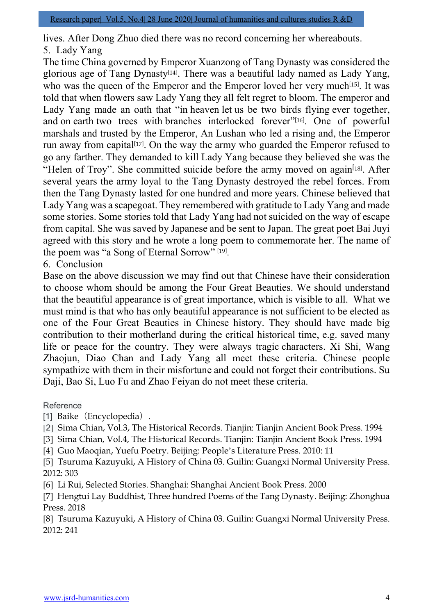lives. After Dong Zhuo died there was no record concerning her whereabouts. 5. Lady Yang

The time China governed by Emperor Xuanzong of Tang Dynasty was considered the glorious age of Tang Dynasty<sup>[14]</sup>. There was a beautiful lady named as Lady Yang, who was the queen of the Emperor and the Emperor loved her very much<sup>[15]</sup>. It was told that when flowers saw Lady Yang they all felt regret to bloom. The emperor and Lady Yang made an oath that "in heaven let us be two birds flying ever together, and on earth two trees with branches interlocked forever"[16]. One of powerful marshals and trusted by the Emperor, An Lushan who led a rising and, the Emperor run away from capital<sup>[17]</sup>. On the way the army who guarded the Emperor refused to go any farther. They demanded to kill Lady Yang because they believed she was the "Helen of Troy". She committed suicide before the army moved on again<sup>[18]</sup>. After several years the army loyal to the Tang Dynasty destroyed the rebel forces. From then the Tang Dynasty lasted for one hundred and more years. Chinese believed that Lady Yang was a scapegoat. They remembered with gratitude to Lady Yang and made some stories. Some stories told that Lady Yang had not suicided on the way of escape from capital. She was saved by Japanese and be sent to Japan. The great poet Bai Juyi agreed with this story and he wrote a long poem to commemorate her. The name of the poem was "a Song of Eternal Sorrow" [19].

6. Conclusion

Base on the above discussion we may find out that Chinese have their consideration to choose whom should be among the Four Great Beauties. We should understand that the beautiful appearance is of great importance, which is visible to all. What we must mind is that who has only beautiful appearance is not sufficient to be elected as one of the Four Great Beauties in Chinese history. They should have made big contribution to their motherland during the critical historical time, e.g. saved many life or peace for the country. They were always tragic characters. Xi Shi, Wang Zhaojun, Diao Chan and Lady Yang all meet these criteria. Chinese people sympathize with them in their misfortune and could not forget their contributions. Su Daji, Bao Si, Luo Fu and Zhao Feiyan do not meet these criteria.

### Reference

- [1] Baike (Encyclopedia).
- [2] Sima Chian, Vol.3, The Historical Records. Tianjin: Tianjin Ancient Book Press. 1994
- [3] Sima Chian, Vol.4, The Historical Records. Tianjin: Tianjin Ancient Book Press. 1994
- [4] Guo Maoqian, Yuefu Poetry. Beijing: People's Literature Press. 2010: 11
- [5] Tsuruma Kazuyuki, A History of China 03. Guilin: Guangxi Normal University Press. 2012: 303
- [6] Li Rui, Selected Stories. Shanghai: Shanghai Ancient Book Press. 2000
- [7] Hengtui Lay Buddhist, Three hundred Poems of the Tang Dynasty. Beijing: Zhonghua Press. 2018

[8] Tsuruma Kazuyuki, A History of China 03. Guilin: Guangxi Normal University Press. 2012: 241